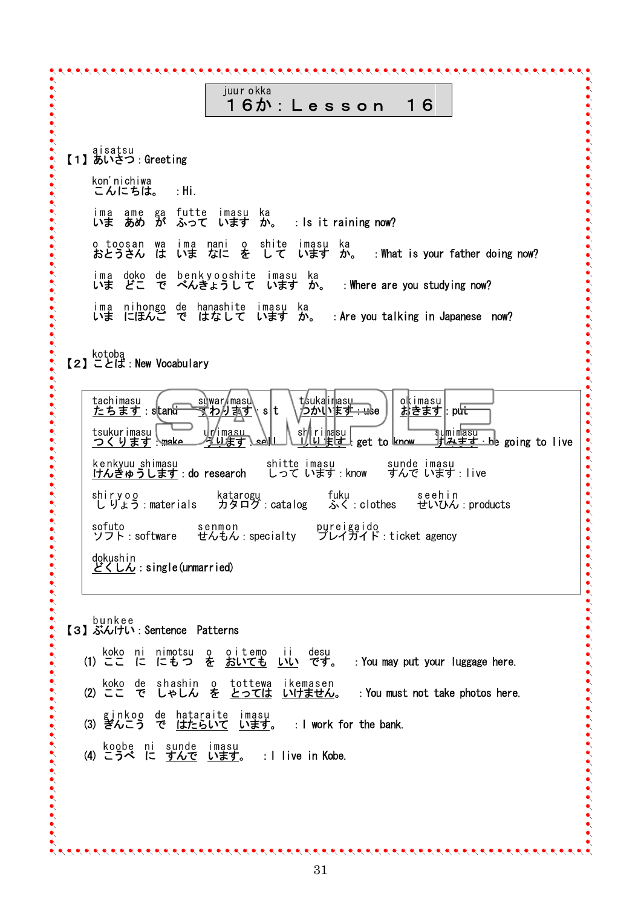